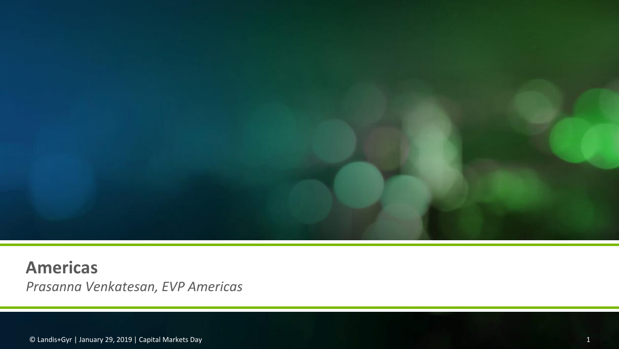

**Americas** *Prasanna Venkatesan, EVP Americas*

© Landis+Gyr | January 29, 2019 | Capital Markets Day 1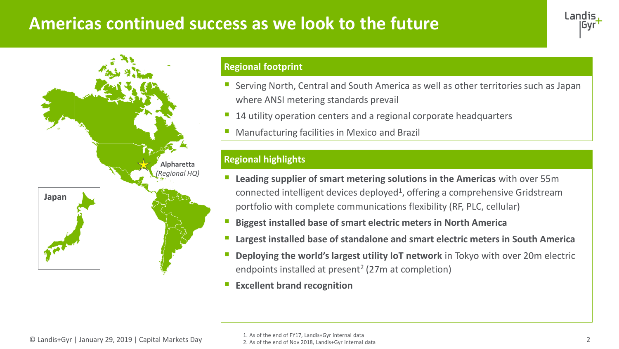## **Americas continued success as we look to the future**





#### **Regional footprint**

- Serving North, Central and South America as well as other territories such as Japan where ANSI metering standards prevail
- 14 utility operation centers and a regional corporate headquarters
- **Manufacturing facilities in Mexico and Brazil**

### **Regional highlights**

- **Leading supplier of smart metering solutions in the Americas** with over 55m connected intelligent devices deployed<sup>1</sup>, offering a comprehensive Gridstream portfolio with complete communications flexibility (RF, PLC, cellular)
- **Biggest installed base of smart electric meters in North America**
- **Largest installed base of standalone and smart electric meters in South America**
- **Deploying the world's largest utility IoT network** in Tokyo with over 20m electric endpoints installed at present<sup>2</sup> (27m at completion)
- **Excellent brand recognition**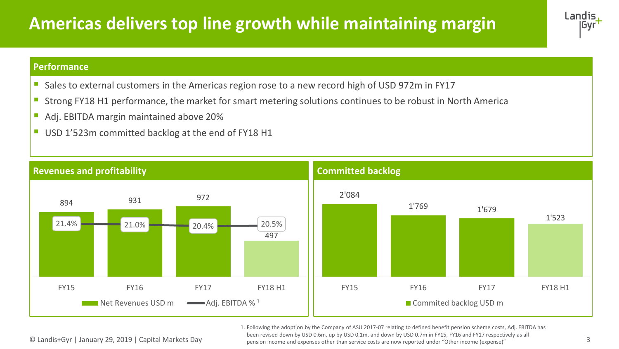# **Americas delivers top line growth while maintaining margin**



#### **Performance**

- Sales to external customers in the Americas region rose to a new record high of USD 972m in FY17
- Strong FY18 H1 performance, the market for smart metering solutions continues to be robust in North America
- Adj. EBITDA margin maintained above 20%
- USD 1'523m committed backlog at the end of FY18 H1



© Landis+Gyr | January 29, 2019 | Capital Markets Day 3 pension income and expenses other than service costs are now reported under "Other income (expense)" 1. Following the adoption by the Company of ASU 2017-07 relating to defined benefit pension scheme costs, Adj. EBITDA has been revised down by USD 0.6m, up by USD 0.1m, and down by USD 0.7m in FY15, FY16 and FY17 respectively as all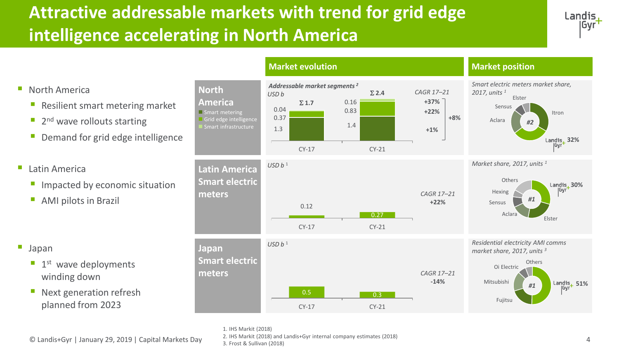# **Attractive addressable markets with trend for grid edge intelligence accelerating in North America**





- Resilient smart metering market
- 2<sup>nd</sup> wave rollouts starting
- **Demand for grid edge intelligence**
- Latin America
	- **E** Impacted by economic situation
	- AMI pilots in Brazil

- Japan
	- **1st** wave deployments winding down
	- Next generation refresh planned from 2023









*Residential electricity AMI comms market share, 2017, units <sup>3</sup>*



**+8%**



1. IHS Markit (2018)

© Landis+Gyr | January 29, 2019 | Capital Markets Day 4 2. IHS Markit (2018) and Landis+Gyr internal company estimates (2018)

3. Frost & Sullivan (2018)

 $0.5$  0.3 CY-17 CY-21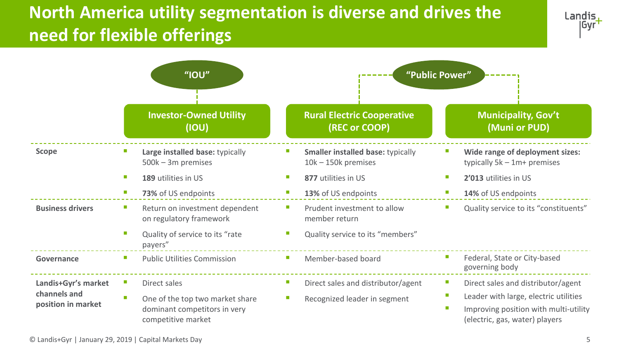# **North America utility segmentation is diverse and drives the need for flexible offerings**



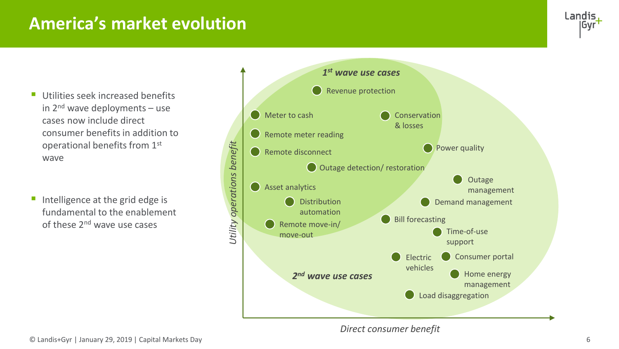### **America's market evolution**



- **Utilities seek increased benefits** in  $2^{nd}$  wave deployments – use cases now include direct consumer benefits in addition to operational benefits from 1st wave
- Intelligence at the grid edge is fundamental to the enablement of these 2nd wave use cases



*Direct consumer benefit*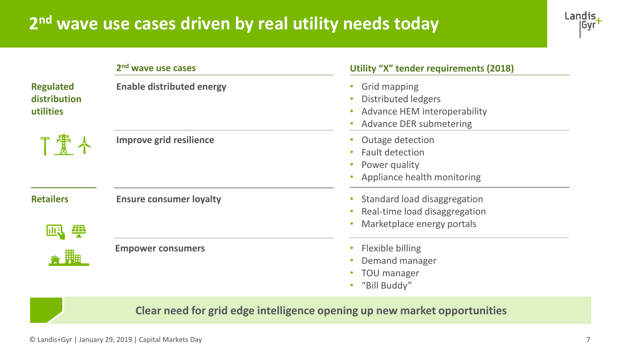## **2 nd wave use cases driven by real utility needs today**



|                                               | 2 <sup>nd</sup> wave use cases   | Utility "X" tender requirements (2018)                                                                |
|-----------------------------------------------|----------------------------------|-------------------------------------------------------------------------------------------------------|
| <b>Regulated</b><br>distribution<br>utilities | <b>Enable distributed energy</b> | Grid mapping<br><b>Distributed ledgers</b><br>Advance HEM interoperability<br>Advance DER submetering |
|                                               | Improve grid resilience          | Outage detection<br><b>Fault detection</b><br>Power quality<br>Appliance health monitoring            |
| <b>Retailers</b>                              | <b>Ensure consumer loyalty</b>   | Standard load disaggregation<br>Real-time load disaggregation<br>Marketplace energy portals           |
|                                               | <b>Empower consumers</b>         | Flexible billing<br>Demand manager<br>TOU manager<br>"Bill Buddy"                                     |

**Clear need for grid edge intelligence opening up new market opportunities**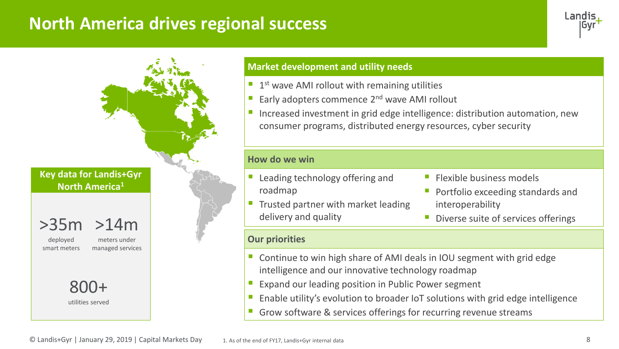### **North America drives regional success**



#### **Market development and utility needs**

- $\blacksquare$  1<sup>st</sup> wave AMI rollout with remaining utilities
- Early adopters commence 2<sup>nd</sup> wave AMI rollout
- Increased investment in grid edge intelligence: distribution automation, new consumer programs, distributed energy resources, cyber security

#### **How do we win**

- Leading technology offering and roadmap
- **Trusted partner with market leading** delivery and quality
- **Elexible business models**
- Portfolio exceeding standards and interoperability
- Diverse suite of services offerings

#### **Our priorities**

- Continue to win high share of AMI deals in IOU segment with grid edge intelligence and our innovative technology roadmap
- Expand our leading position in Public Power segment
- Enable utility's evolution to broader IoT solutions with grid edge intelligence
- Grow software & services offerings for recurring revenue streams

**Key data for Landis+Gyr North America<sup>1</sup>**

>14m >35m

deployed smart meters

meters under managed services

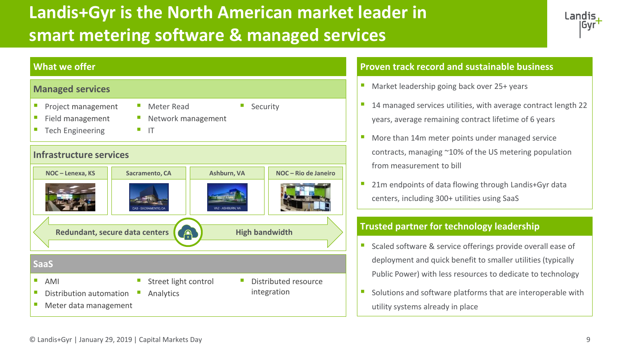# **Landis+Gyr is the North American market leader in smart metering software & managed services**





#### **Proven track record and sustainable business**

- Market leadership going back over 25+ years
- 14 managed services utilities, with average contract length 22 years, average remaining contract lifetime of 6 years
- More than 14m meter points under managed service contracts, managing ~10% of the US metering population from measurement to bill
- 21m endpoints of data flowing through Landis+Gyr data centers, including 300+ utilities using SaaS

### **Trusted partner for technology leadership**

- Scaled software & service offerings provide overall ease of deployment and quick benefit to smaller utilities (typically Public Power) with less resources to dedicate to technology
- Solutions and software platforms that are interoperable with utility systems already in place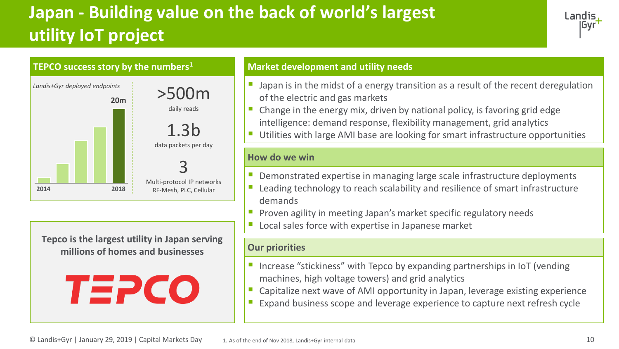# **Japan - Building value on the back of world's largest utility IoT project**





**Tepco is the largest utility in Japan serving millions of homes and businesses**



- **E** Japan is in the midst of a energy transition as a result of the recent deregulation of the electric and gas markets
- $\blacksquare$  Change in the energy mix, driven by national policy, is favoring grid edge intelligence: demand response, flexibility management, grid analytics
- Utilities with large AMI base are looking for smart infrastructure opportunities

#### **How do we win**

- Demonstrated expertise in managing large scale infrastructure deployments
- **E** Leading technology to reach scalability and resilience of smart infrastructure demands
- **•** Proven agility in meeting Japan's market specific regulatory needs
- Local sales force with expertise in Japanese market

#### **Our priorities**

- Increase "stickiness" with Tepco by expanding partnerships in IoT (vending machines, high voltage towers) and grid analytics
- Capitalize next wave of AMI opportunity in Japan, leverage existing experience
- Expand business scope and leverage experience to capture next refresh cycle